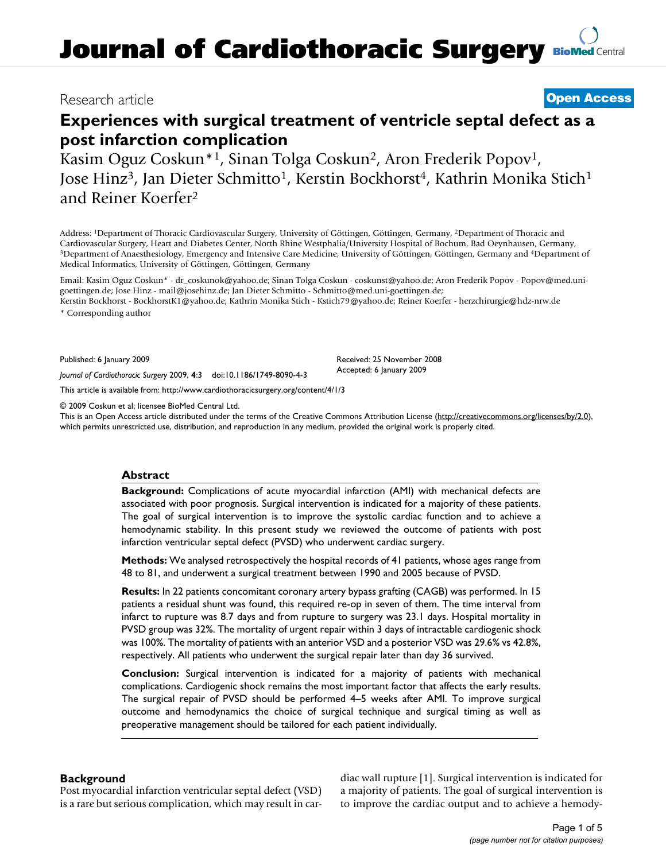## Research article **[Open Access](http://www.biomedcentral.com/info/about/charter/)**

# **Experiences with surgical treatment of ventricle septal defect as a post infarction complication**

Kasim Oguz Coskun\*1, Sinan Tolga Coskun2, Aron Frederik Popov1, Jose Hinz<sup>3</sup>, Jan Dieter Schmitto<sup>1</sup>, Kerstin Bockhorst<sup>4</sup>, Kathrin Monika Stich<sup>1</sup> and Reiner Koerfer2

Address: 1Department of Thoracic Cardiovascular Surgery, University of Göttingen, Göttingen, Germany, 2Department of Thoracic and Cardiovascular Surgery, Heart and Diabetes Center, North Rhine Westphalia/University Hospital of Bochum, Bad Oeynhausen, Germany, 3Department of Anaesthesiology, Emergency and Intensive Care Medicine, University of Götting Medical Informatics, University of Göttingen, Göttingen, Germany

Email: Kasim Oguz Coskun\* - dr\_coskunok@yahoo.de; Sinan Tolga Coskun - coskunst@yahoo.de; Aron Frederik Popov - Popov@med.unigoettingen.de; Jose Hinz - mail@josehinz.de; Jan Dieter Schmitto - Schmitto@med.uni-goettingen.de; Kerstin Bockhorst - BockhorstK1@yahoo.de; Kathrin Monika Stich - Kstich79@yahoo.de; Reiner Koerfer - herzchirurgie@hdz-nrw.de

\* Corresponding author

Published: 6 January 2009

*Journal of Cardiothoracic Surgery* 2009, **4**:3 doi:10.1186/1749-8090-4-3

[This article is available from: http://www.cardiothoracicsurgery.org/content/4/1/3](http://www.cardiothoracicsurgery.org/content/4/1/3)

© 2009 Coskun et al; licensee BioMed Central Ltd.

This is an Open Access article distributed under the terms of the Creative Commons Attribution License [\(http://creativecommons.org/licenses/by/2.0\)](http://creativecommons.org/licenses/by/2.0), which permits unrestricted use, distribution, and reproduction in any medium, provided the original work is properly cited.

Received: 25 November 2008 Accepted: 6 January 2009

## **Abstract**

**Background:** Complications of acute myocardial infarction (AMI) with mechanical defects are associated with poor prognosis. Surgical intervention is indicated for a majority of these patients. The goal of surgical intervention is to improve the systolic cardiac function and to achieve a hemodynamic stability. In this present study we reviewed the outcome of patients with post infarction ventricular septal defect (PVSD) who underwent cardiac surgery.

**Methods:** We analysed retrospectively the hospital records of 41 patients, whose ages range from 48 to 81, and underwent a surgical treatment between 1990 and 2005 because of PVSD.

**Results:** In 22 patients concomitant coronary artery bypass grafting (CAGB) was performed. In 15 patients a residual shunt was found, this required re-op in seven of them. The time interval from infarct to rupture was 8.7 days and from rupture to surgery was 23.1 days. Hospital mortality in PVSD group was 32%. The mortality of urgent repair within 3 days of intractable cardiogenic shock was 100%. The mortality of patients with an anterior VSD and a posterior VSD was 29.6% vs 42.8%, respectively. All patients who underwent the surgical repair later than day 36 survived.

**Conclusion:** Surgical intervention is indicated for a majority of patients with mechanical complications. Cardiogenic shock remains the most important factor that affects the early results. The surgical repair of PVSD should be performed 4–5 weeks after AMI. To improve surgical outcome and hemodynamics the choice of surgical technique and surgical timing as well as preoperative management should be tailored for each patient individually.

## **Background**

Post myocardial infarction ventricular septal defect (VSD) is a rare but serious complication, which may result in cardiac wall rupture [1]. Surgical intervention is indicated for a majority of patients. The goal of surgical intervention is to improve the cardiac output and to achieve a hemody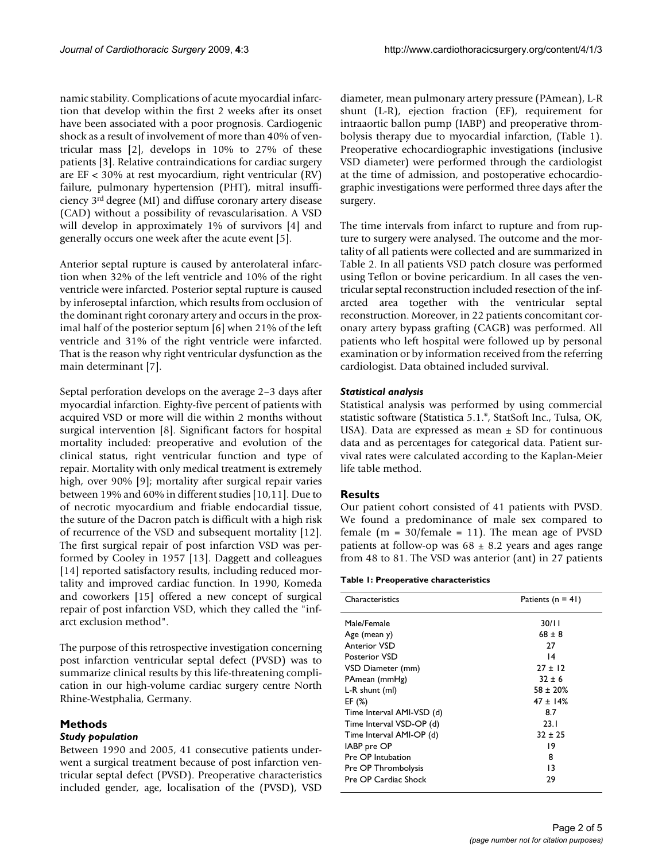namic stability. Complications of acute myocardial infarction that develop within the first 2 weeks after its onset have been associated with a poor prognosis. Cardiogenic shock as a result of involvement of more than 40% of ventricular mass [2], develops in 10% to 27% of these patients [3]. Relative contraindications for cardiac surgery are EF < 30% at rest myocardium, right ventricular (RV) failure, pulmonary hypertension (PHT), mitral insufficiency 3rd degree (MI) and diffuse coronary artery disease (CAD) without a possibility of revascularisation. A VSD will develop in approximately 1% of survivors [4] and generally occurs one week after the acute event [5].

Anterior septal rupture is caused by anterolateral infarction when 32% of the left ventricle and 10% of the right ventricle were infarcted. Posterior septal rupture is caused by inferoseptal infarction, which results from occlusion of the dominant right coronary artery and occurs in the proximal half of the posterior septum [6] when 21% of the left ventricle and 31% of the right ventricle were infarcted. That is the reason why right ventricular dysfunction as the main determinant [7].

Septal perforation develops on the average 2–3 days after myocardial infarction. Eighty-five percent of patients with acquired VSD or more will die within 2 months without surgical intervention [8]. Significant factors for hospital mortality included: preoperative and evolution of the clinical status, right ventricular function and type of repair. Mortality with only medical treatment is extremely high, over 90% [9]; mortality after surgical repair varies between 19% and 60% in different studies [10,11]. Due to of necrotic myocardium and friable endocardial tissue, the suture of the Dacron patch is difficult with a high risk of recurrence of the VSD and subsequent mortality [12]. The first surgical repair of post infarction VSD was performed by Cooley in 1957 [13]. Daggett and colleagues [14] reported satisfactory results, including reduced mortality and improved cardiac function. In 1990, Komeda and coworkers [15] offered a new concept of surgical repair of post infarction VSD, which they called the "infarct exclusion method".

The purpose of this retrospective investigation concerning post infarction ventricular septal defect (PVSD) was to summarize clinical results by this life-threatening complication in our high-volume cardiac surgery centre North Rhine-Westphalia, Germany.

## **Methods**

## *Study population*

Between 1990 and 2005, 41 consecutive patients underwent a surgical treatment because of post infarction ventricular septal defect (PVSD). Preoperative characteristics included gender, age, localisation of the (PVSD), VSD diameter, mean pulmonary artery pressure (PAmean), L-R shunt (L-R), ejection fraction (EF), requirement for intraaortic ballon pump (IABP) and preoperative thrombolysis therapy due to myocardial infarction, (Table 1). Preoperative echocardiographic investigations (inclusive VSD diameter) were performed through the cardiologist at the time of admission, and postoperative echocardiographic investigations were performed three days after the surgery.

The time intervals from infarct to rupture and from rupture to surgery were analysed. The outcome and the mortality of all patients were collected and are summarized in Table 2. In all patients VSD patch closure was performed using Teflon or bovine pericardium. In all cases the ventricular septal reconstruction included resection of the infarcted area together with the ventricular septal reconstruction. Moreover, in 22 patients concomitant coronary artery bypass grafting (CAGB) was performed. All patients who left hospital were followed up by personal examination or by information received from the referring cardiologist. Data obtained included survival.

### *Statistical analysis*

Statistical analysis was performed by using commercial statistic software (Statistica 5.1.®, StatSoft Inc., Tulsa, OK, USA). Data are expressed as mean  $\pm$  SD for continuous data and as percentages for categorical data. Patient survival rates were calculated according to the Kaplan-Meier life table method.

## **Results**

Our patient cohort consisted of 41 patients with PVSD. We found a predominance of male sex compared to female  $(m = 30/female = 11)$ . The mean age of PVSD patients at follow-op was  $68 \pm 8.2$  years and ages range from 48 to 81. The VSD was anterior (ant) in 27 patients

#### **Table 1: Preoperative characteristics**

| Characteristics           | Patients $(n = 41)$ |
|---------------------------|---------------------|
| Male/Female               | 30/II               |
| Age (mean y)              | $68 \pm 8$          |
| Anterior VSD              | 27                  |
| Posterior VSD             | 14                  |
| VSD Diameter (mm)         | $27 \pm 12$         |
| PAmean (mmHg)             | $32 \pm 6$          |
| L-R shunt (ml)            | $58 \pm 20\%$       |
| EF $(\%)$                 | $47 \pm 14\%$       |
| Time Interval AMI-VSD (d) | 8.7                 |
| Time Interval VSD-OP (d)  | 23.1                |
| Time Interval AMI-OP (d)  | $32 \pm 25$         |
| IABP pre OP               | 19                  |
| Pre OP Intubation         | 8                   |
| Pre OP Thrombolysis       | 13                  |
| Pre OP Cardiac Shock      | 29                  |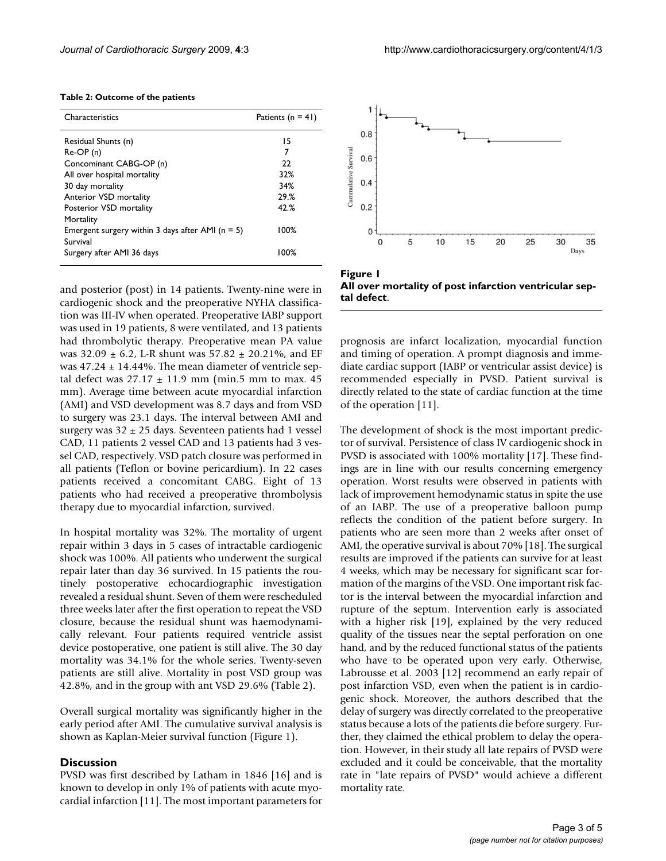| Characteristics                                      | Patients ( $n = 41$ ) |
|------------------------------------------------------|-----------------------|
| Residual Shunts (n)                                  | 15                    |
| $Re-OP(n)$                                           | 7                     |
| Concominant CABG-OP (n)                              | 22                    |
| All over hospital mortality                          | 32%                   |
| 30 day mortality                                     | 34%                   |
| Anterior VSD mortality                               | 29.%                  |
| Posterior VSD mortality                              | 42.%                  |
| Mortality                                            |                       |
| Emergent surgery within 3 days after AMI ( $n = 5$ ) | 100%                  |
| Survival                                             |                       |
| Surgery after AMI 36 days                            | 100%                  |
|                                                      |                       |

#### **Table 2: Outcome of the patients**

and posterior (post) in 14 patients. Twenty-nine were in cardiogenic shock and the preoperative NYHA classification was III-IV when operated. Preoperative IABP support was used in 19 patients, 8 were ventilated, and 13 patients had thrombolytic therapy. Preoperative mean PA value was  $32.09 \pm 6.2$ , L-R shunt was  $57.82 \pm 20.21$ %, and EF was  $47.24 \pm 14.44\%$ . The mean diameter of ventricle septal defect was  $27.17 \pm 11.9$  mm (min.5 mm to max. 45 mm). Average time between acute myocardial infarction (AMI) and VSD development was 8.7 days and from VSD to surgery was 23.1 days. The interval between AMI and surgery was  $32 \pm 25$  days. Seventeen patients had 1 vessel CAD, 11 patients 2 vessel CAD and 13 patients had 3 vessel CAD, respectively. VSD patch closure was performed in all patients (Teflon or bovine pericardium). In 22 cases patients received a concomitant CABG. Eight of 13 patients who had received a preoperative thrombolysis therapy due to myocardial infarction, survived.

In hospital mortality was 32%. The mortality of urgent repair within 3 days in 5 cases of intractable cardiogenic shock was 100%. All patients who underwent the surgical repair later than day 36 survived. In 15 patients the routinely postoperative echocardiographic investigation revealed a residual shunt. Seven of them were rescheduled three weeks later after the first operation to repeat the VSD closure, because the residual shunt was haemodynamically relevant. Four patients required ventricle assist device postoperative, one patient is still alive. The 30 day mortality was 34.1% for the whole series. Twenty-seven patients are still alive. Mortality in post VSD group was 42.8%, and in the group with ant VSD 29.6% (Table 2).

Overall surgical mortality was significantly higher in the early period after AMI. The cumulative survival analysis is shown as Kaplan-Meier survival function (Figure 1).

#### **Discussion**

PVSD was first described by Latham in 1846 [16] and is known to develop in only 1% of patients with acute myocardial infarction [11]. The most important parameters for



Figure 1 **All over mortality of post infarction ventricular septal defect**.

prognosis are infarct localization, myocardial function and timing of operation. A prompt diagnosis and immediate cardiac support (IABP or ventricular assist device) is recommended especially in PVSD. Patient survival is directly related to the state of cardiac function at the time of the operation [11].

The development of shock is the most important predictor of survival. Persistence of class IV cardiogenic shock in PVSD is associated with 100% mortality [17]. These findings are in line with our results concerning emergency operation. Worst results were observed in patients with lack of improvement hemodynamic status in spite the use of an IABP. The use of a preoperative balloon pump reflects the condition of the patient before surgery. In patients who are seen more than 2 weeks after onset of AMI, the operative survival is about 70% [18]. The surgical results are improved if the patients can survive for at least 4 weeks, which may be necessary for significant scar formation of the margins of the VSD. One important risk factor is the interval between the myocardial infarction and rupture of the septum. Intervention early is associated with a higher risk [19], explained by the very reduced quality of the tissues near the septal perforation on one hand, and by the reduced functional status of the patients who have to be operated upon very early. Otherwise, Labrousse et al. 2003 [12] recommend an early repair of post infarction VSD, even when the patient is in cardiogenic shock. Moreover, the authors described that the delay of surgery was directly correlated to the preoperative status because a lots of the patients die before surgery. Further, they claimed the ethical problem to delay the operation. However, in their study all late repairs of PVSD were excluded and it could be conceivable, that the mortality rate in "late repairs of PVSD" would achieve a different mortality rate.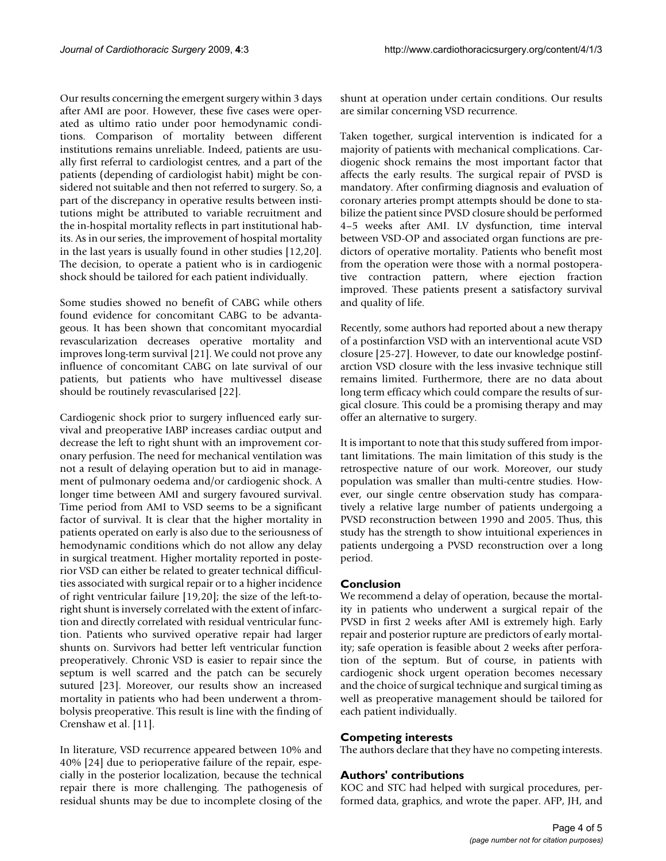Our results concerning the emergent surgery within 3 days after AMI are poor. However, these five cases were operated as ultimo ratio under poor hemodynamic conditions. Comparison of mortality between different institutions remains unreliable. Indeed, patients are usually first referral to cardiologist centres, and a part of the patients (depending of cardiologist habit) might be considered not suitable and then not referred to surgery. So, a part of the discrepancy in operative results between institutions might be attributed to variable recruitment and the in-hospital mortality reflects in part institutional habits. As in our series, the improvement of hospital mortality in the last years is usually found in other studies [12,20]. The decision, to operate a patient who is in cardiogenic shock should be tailored for each patient individually.

Some studies showed no benefit of CABG while others found evidence for concomitant CABG to be advantageous. It has been shown that concomitant myocardial revascularization decreases operative mortality and improves long-term survival [21]. We could not prove any influence of concomitant CABG on late survival of our patients, but patients who have multivessel disease should be routinely revascularised [22].

Cardiogenic shock prior to surgery influenced early survival and preoperative IABP increases cardiac output and decrease the left to right shunt with an improvement coronary perfusion. The need for mechanical ventilation was not a result of delaying operation but to aid in management of pulmonary oedema and/or cardiogenic shock. A longer time between AMI and surgery favoured survival. Time period from AMI to VSD seems to be a significant factor of survival. It is clear that the higher mortality in patients operated on early is also due to the seriousness of hemodynamic conditions which do not allow any delay in surgical treatment. Higher mortality reported in posterior VSD can either be related to greater technical difficulties associated with surgical repair or to a higher incidence of right ventricular failure [19,20]; the size of the left-toright shunt is inversely correlated with the extent of infarction and directly correlated with residual ventricular function. Patients who survived operative repair had larger shunts on. Survivors had better left ventricular function preoperatively. Chronic VSD is easier to repair since the septum is well scarred and the patch can be securely sutured [23]. Moreover, our results show an increased mortality in patients who had been underwent a thrombolysis preoperative. This result is line with the finding of Crenshaw et al. [11].

In literature, VSD recurrence appeared between 10% and 40% [24] due to perioperative failure of the repair, especially in the posterior localization, because the technical repair there is more challenging. The pathogenesis of residual shunts may be due to incomplete closing of the shunt at operation under certain conditions. Our results are similar concerning VSD recurrence.

Taken together, surgical intervention is indicated for a majority of patients with mechanical complications. Cardiogenic shock remains the most important factor that affects the early results. The surgical repair of PVSD is mandatory. After confirming diagnosis and evaluation of coronary arteries prompt attempts should be done to stabilize the patient since PVSD closure should be performed 4–5 weeks after AMI. LV dysfunction, time interval between VSD-OP and associated organ functions are predictors of operative mortality. Patients who benefit most from the operation were those with a normal postoperative contraction pattern, where ejection fraction improved. These patients present a satisfactory survival and quality of life.

Recently, some authors had reported about a new therapy of a postinfarction VSD with an interventional acute VSD closure [25-27]. However, to date our knowledge postinfarction VSD closure with the less invasive technique still remains limited. Furthermore, there are no data about long term efficacy which could compare the results of surgical closure. This could be a promising therapy and may offer an alternative to surgery.

It is important to note that this study suffered from important limitations. The main limitation of this study is the retrospective nature of our work. Moreover, our study population was smaller than multi-centre studies. However, our single centre observation study has comparatively a relative large number of patients undergoing a PVSD reconstruction between 1990 and 2005. Thus, this study has the strength to show intuitional experiences in patients undergoing a PVSD reconstruction over a long period.

## **Conclusion**

We recommend a delay of operation, because the mortality in patients who underwent a surgical repair of the PVSD in first 2 weeks after AMI is extremely high. Early repair and posterior rupture are predictors of early mortality; safe operation is feasible about 2 weeks after perforation of the septum. But of course, in patients with cardiogenic shock urgent operation becomes necessary and the choice of surgical technique and surgical timing as well as preoperative management should be tailored for each patient individually.

## **Competing interests**

The authors declare that they have no competing interests.

## **Authors' contributions**

KOC and STC had helped with surgical procedures, performed data, graphics, and wrote the paper. AFP, JH, and